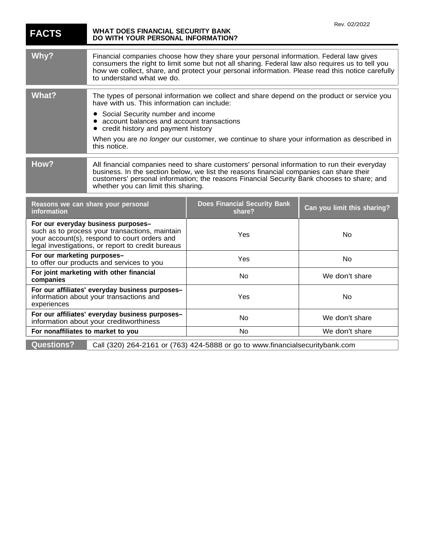| <b>FACTS</b>                                                                                                                                                                               | WHAT DOES FINANCIAL SECURITY BANK<br>DO WITH YOUR PERSONAL INFORMATION?                                                                                                                                                                                                                                                                                                                       |                                        | Rev. 02/2022                |
|--------------------------------------------------------------------------------------------------------------------------------------------------------------------------------------------|-----------------------------------------------------------------------------------------------------------------------------------------------------------------------------------------------------------------------------------------------------------------------------------------------------------------------------------------------------------------------------------------------|----------------------------------------|-----------------------------|
| Why?                                                                                                                                                                                       | Financial companies choose how they share your personal information. Federal law gives<br>consumers the right to limit some but not all sharing. Federal law also requires us to tell you<br>how we collect, share, and protect your personal information. Please read this notice carefully<br>to understand what we do.                                                                     |                                        |                             |
| <b>What?</b>                                                                                                                                                                               | The types of personal information we collect and share depend on the product or service you<br>have with us. This information can include:<br>Social Security number and income<br>account balances and account transactions<br>credit history and payment history<br>$\bullet$<br>When you are no longer our customer, we continue to share your information as described in<br>this notice. |                                        |                             |
| How?                                                                                                                                                                                       | All financial companies need to share customers' personal information to run their everyday<br>business. In the section below, we list the reasons financial companies can share their<br>customers' personal information; the reasons Financial Security Bank chooses to share; and<br>whether you can limit this sharing.                                                                   |                                        |                             |
| Reasons we can share your personal<br>information                                                                                                                                          |                                                                                                                                                                                                                                                                                                                                                                                               | Does Financial Security Bank<br>share? | Can you limit this sharing? |
| For our everyday business purposes-<br>such as to process your transactions, maintain<br>your account(s), respond to court orders and<br>legal investigations, or report to credit bureaus |                                                                                                                                                                                                                                                                                                                                                                                               | Yes                                    | No                          |
| For our marketing purposes-<br>to offer our products and services to you                                                                                                                   |                                                                                                                                                                                                                                                                                                                                                                                               | Yes                                    | No                          |
| For joint marketing with other financial<br>companies                                                                                                                                      |                                                                                                                                                                                                                                                                                                                                                                                               | No.                                    | We don't share              |
| For our affiliates' everyday business purposes-<br>information about your transactions and<br>experiences                                                                                  |                                                                                                                                                                                                                                                                                                                                                                                               | Yes                                    | No                          |
| For our affiliates' everyday business purposes-<br>information about your creditworthiness                                                                                                 |                                                                                                                                                                                                                                                                                                                                                                                               | No.                                    | We don't share              |
| For nonaffiliates to market to you                                                                                                                                                         |                                                                                                                                                                                                                                                                                                                                                                                               | No                                     | We don't share              |
| <b>Questions?</b><br>Call (320) 264-2161 or (763) 424-5888 or go to www.financialsecuritybank.com                                                                                          |                                                                                                                                                                                                                                                                                                                                                                                               |                                        |                             |